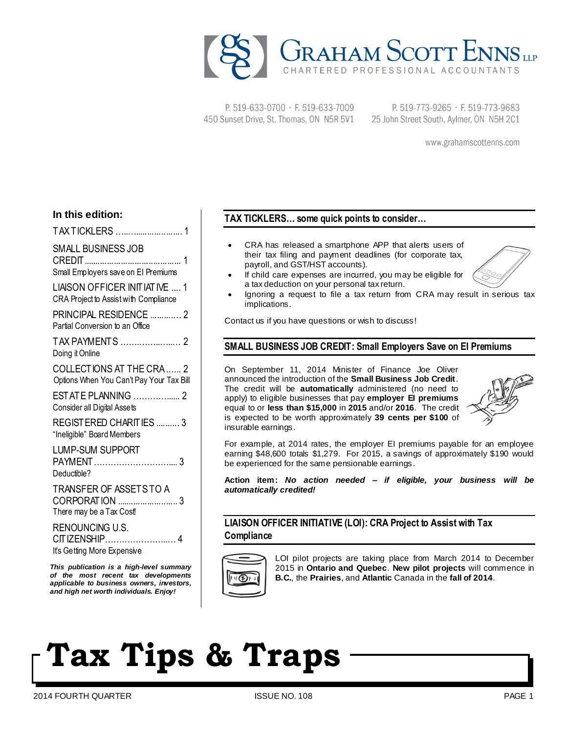

P. 519-633-0700 · F. 519-633-7009 450 Sunset Drive, St. Thomas, ON N5R 5V1

P. 519-773-9265 · F. 519-773-9683 25 John Street South, Aylmer, ON N5H 2C1

www.grahamscottenns.com

### **In this edition:**

TAX TICKLERS …..….................... 1 SMALL BUSINESS JOB CREDIT.......................................... 1 Small Employers save on EI Premiums LIAISON OFFICER INITIATIVE .... 1 CRA Project to Assist with Compliance PRINCIPAL RESIDENCE ..........… 2 Partial Conversion to an Office TAX PAYMENTS …….……..…..… 2 Doing it Online COLLECTIONS AT THE CRA .….. 2 Options When You Can't Pay Your Tax Bill ESTATE PLANNING …………...... 2 Consider all Digital Assets REGISTERED CHARITIES .......... 3 "Ineligible" Board Members LUMP-SUM SUPPORT PAYMENT……………………….... 3 Deductible? TRANSFER OF ASSETS TO A CORPORATION .......................... 3 There may be a Tax Cost! RENOUNCING U.S. CITIZENSHIP…………………..… 4

It's Getting More Expensive *This publication is a high-level summary* 

*of the most recent tax developments applicable to business owners, investors, and high net worth individuals. Enjoy!*

### **TAX TICKLERS… some quick points to consider…**

- CRA has released a smartphone APP that alerts users of their tax filing and payment deadlines (for corporate tax, payroll, and GST/HST accounts).
- If child care expenses are incurred, you may be eligible for a tax deduction on your personal tax return.
- Ignoring a request to file a tax return from CRA may result in serious tax implications.

Contact us if you have questions or wish to discuss!

#### **SMALL BUSINESS JOB CREDIT: Small Employers Save on EI Premiums**

On September 11, 2014 Minister of Finance Joe Oliver announced the introduction of the **Small Business Job Credit**. The credit will be **automatically** administered (no need to apply) to eligible businesses that pay **employer EI premiums** equal to or **less than \$15,000** in **2015** and/or **2016**. The credit is expected to be worth approximately **39 cents per \$100** of insurable earnings.



For example, at 2014 rates, the employer EI premiums payable for an employee earning \$48,600 totals \$1,279. For 2015, a savings of approximately \$190 would be experienced for the same pensionable earnings.

**Action item:** *No action needed – if eligible, your business will be automatically credited!*

**LIAISON OFFICER INITIATIVE (LOI): CRA Project to Assist with Tax Compliance**



LOI pilot projects are taking place from March 2014 to December 2015 in **Ontario and Quebec**. **New pilot projects** will commence in **B.C.**, the **Prairies**, and **Atlantic** Canada in the **fall of 2014**.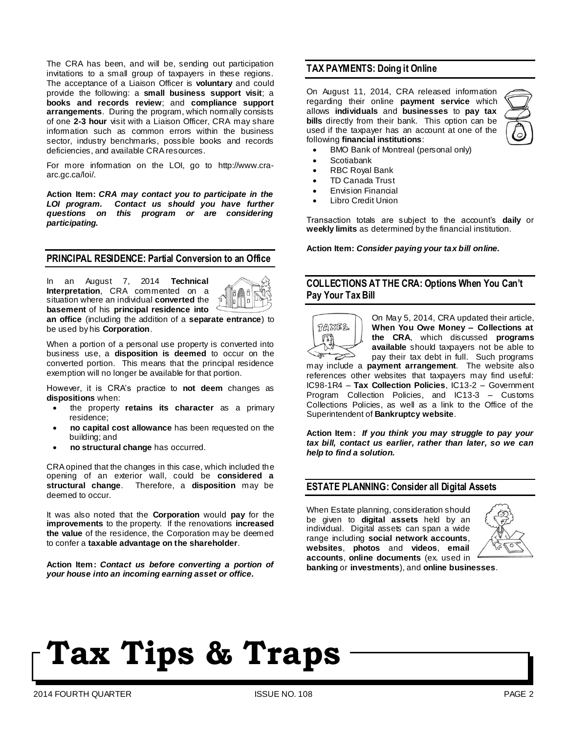The CRA has been, and will be, sending out participation invitations to a small group of taxpayers in these regions. The acceptance of a Liaison Officer is **voluntary** and could provide the following: a **small business support visit**; a **books and records review**; and **compliance support arrangements**. During the program, which normally consists of one **2-3 hour** visit with a Liaison Officer, CRA may share information such as common errors within the business sector, industry benchmarks, possible books and records deficiencies, and available CRA resources.

For more information on the LOI, go to http://www.craarc.gc.ca/loi/.

**Action Item:** *CRA may contact you to participate in the LOI program. Contact us should you have further questions on this program or are considering participating.*

#### **PRINCIPAL RESIDENCE: Partial Conversion to an Office**

In an August 7, 2014 **Technical Interpretation**, CRA commented on a situation where an individual **converted** the **basement** of his **principal residence into** 



**an office** (including the addition of a **separate entrance**) to be used by his **Corporation**.

When a portion of a personal use property is converted into business use, a **disposition is deemed** to occur on the converted portion. This means that the principal residence exemption will no longer be available for that portion.

However, it is CRA's practice to **not deem** changes as **dispositions** when:

- the property **retains its character** as a primary residence;
- **no capital cost allowance** has been requested on the building; and
- **no structural change** has occurred.

CRA opined that the changes in this case, which included the opening of an exterior wall, could be **considered a structural change**. Therefore, a **disposition** may be deemed to occur.

It was also noted that the **Corporation** would **pay** for the **improvements** to the property. If the renovations **increased**  the value of the residence, the Corporation may be deemed to confer a **taxable advantage on the shareholder**.

**Action Item:** *Contact us before converting a portion of your house into an incoming earning asset or office.*

#### **TAX PAYMENTS: Doing it Online**

On August 11, 2014, CRA released information regarding their online **payment service** which allows **individuals** and **businesses** to **pay tax bills** directly from their bank. This option can be used if the taxpayer has an account at one of the following **financial institutions**:



- BMO Bank of Montreal (personal only)
- Scotiabank
- RBC Royal Bank
- TD Canada Trust
- **Envision Financial**
- Libro Credit Union

Transaction totals are subject to the account's **daily** or **weekly limits** as determined by the financial institution.

**Action Item:** *Consider paying your tax bill online.*

### **COLLECTIONS AT THE CRA: Options When You Can't Pay Your Tax Bill**



On May 5, 2014, CRA updated their article, **When You Owe Money – Collections at the CRA**, which discussed **programs available** should taxpayers not be able to pay their tax debt in full. Such programs

may include a **payment arrangement**. The website also references other websites that taxpayers may find useful: IC98-1R4 – **Tax Collection Policies**, IC13-2 – Government Program Collection Policies, and IC13-3 – Customs Collections Policies, as well as a link to the Office of the Superintendent of **Bankruptcy website**.

**Action Item:** *If you think you may struggle to pay your tax bill, contact us earlier, rather than later, so we can help to find a solution.*

#### **ESTATE PLANNING: Consider all Digital Assets**

When Estate planning, consideration should be given to **digital assets** held by an individual. Digital assets can span a wide range including **social network accounts**, **websites**, **photos** and **videos**, **email accounts**, **online documents** (ex. used in **banking** or **investments**), and **online businesses**.

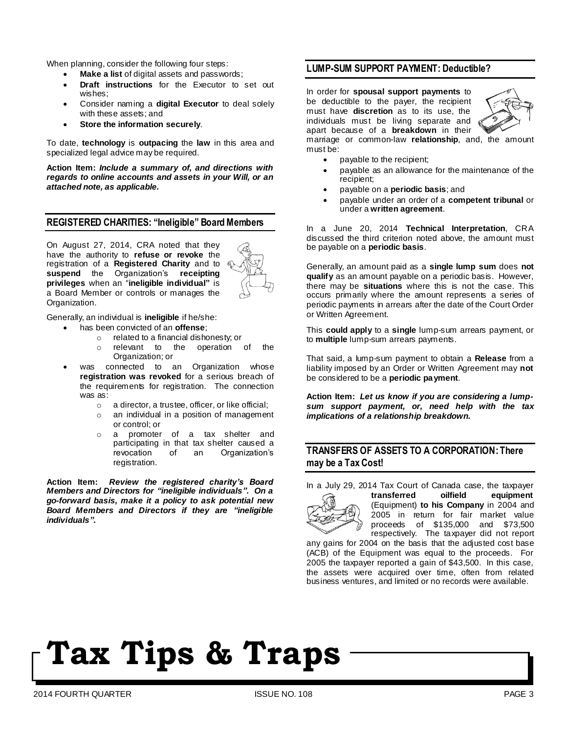When planning, consider the following four steps:

- **Make a list** of digital assets and passwords;
- **Draft instructions** for the Executor to set out wishes;
- Consider naming a **digital Executor** to deal solely with these assets; and
- **Store the information securely**.

To date, **technology** is **outpacing** the **law** in this area and specialized legal advice may be required.

**Action Item:** *Include a summary of, and directions with regards to online accounts and assets in your Will, or an attached note, as applicable.*

#### **REGISTERED CHARITIES: "Ineligible" Board Members**

On August 27, 2014, CRA noted that they have the authority to **refuse or revoke** the registration of a **Registered Charity** and to **suspend** the Organization's **receipting privileges** when an "**ineligible individual"** is a Board Member or controls or manages the Organization.



Generally, an individual is **ineligible** if he/she:

- has been convicted of an **offense**;
	- o related to a financial dishonesty; or
	- relevant to the operation of the Organization; or
- was connected to an Organization whose **registration was revoked** for a serious breach of the requirements for registration. The connection was as:
	- o a director, a trustee, officer, or like official;
	- an individual in a position of management or control; or
	- a promoter of a tax shelter and participating in that tax shelter caused a revocation of an Organization's registration.

**Action Item:** *Review the registered charity's Board Members and Directors for "ineligible individuals". On a go-forward basis, make it a policy to ask potential new Board Members and Directors if they are "ineligible individuals".*

#### **LUMP-SUM SUPPORT PAYMENT: Deductible?**

In order for **spousal support payments** to be deductible to the payer, the recipient must have **discretion** as to its use, the individuals must be living separate and apart because of a **breakdown** in their



marriage or common-law **relationship**, and, the amount must be:

- payable to the recipient;
- payable as an allowance for the maintenance of the recipient;
- payable on a **periodic basis**; and
- payable under an order of a **competent tribunal** or under a **written agreement**.

In a June 20, 2014 **Technical Interpretation**, CRA discussed the third criterion noted above, the amount must be payable on a **periodic basis**.

Generally, an amount paid as a **single lump sum** does **not qualify** as an amount payable on a periodic basis. However, there may be **situations** where this is not the case. This occurs primarily where the amount represents a series of periodic payments in arrears after the date of the Court Order or Written Agreement.

This **could apply** to a **single** lump-sum arrears payment, or to **multiple** lump-sum arrears payments.

That said, a lump-sum payment to obtain a **Release** from a liability imposed by an Order or Written Agreement may **not** be considered to be a **periodic payment**.

**Action Item:** *Let us know if you are considering a lumpsum support payment, or, need help with the tax implications of a relationship breakdown.*

#### **TRANSFERS OF ASSETS TO A CORPORATION: There may be a Tax Cost!**

In a July 29, 2014 Tax Court of Canada case, the taxpayer **transferred oilfield equipment** (Equipment) **to his Company** in 2004 and 2005 in return for fair market value proceeds of \$135,000 and \$73,500 respectively. The taxpayer did not report

any gains for 2004 on the basis that the adjusted cost base (ACB) of the Equipment was equal to the proceeds. For 2005 the taxpayer reported a gain of \$43,500. In this case, the assets were acquired over time, often from related business ventures, and limited or no records were available.